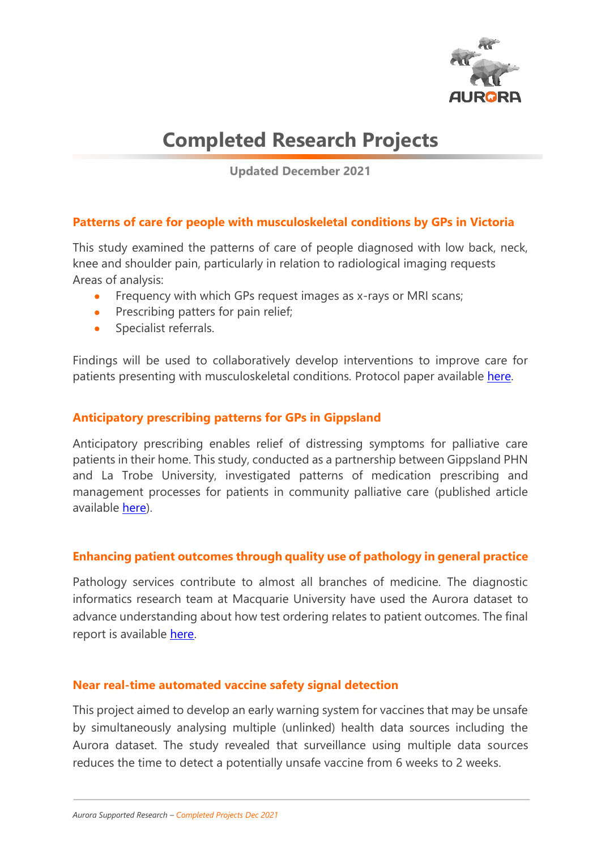

# **Completed Research Projects**

**Updated December 2021**

# **Patterns of care for people with musculoskeletal conditions by GPs in Victoria**

This study examined the patterns of care of people diagnosed with low back, neck, knee and shoulder pain, particularly in relation to radiological imaging requests Areas of analysis:

- Frequency with which GPs request images as x-rays or MRI scans;
- Prescribing patters for pain relief;
- Specialist referrals.

Findings will be used to collaboratively develop interventions to improve care for patients presenting with musculoskeletal conditions. Protocol paper available [here.](https://bmjopen.bmj.com/content/bmjopen/11/9/e055528.full.pdf)

## **Anticipatory prescribing patterns for GPs in Gippsland**

Anticipatory prescribing enables relief of distressing symptoms for palliative care patients in their home. This study, conducted as a partnership between Gippsland PHN and La Trobe University, investigated patterns of medication prescribing and management processes for patients in community palliative care (published article available [here\)](https://pubmed.ncbi.nlm.nih.gov/33750494/).

# **Enhancing patient outcomes through quality use of pathology in general practice**

Pathology services contribute to almost all branches of medicine. The diagnostic informatics research team at Macquarie University have used the Aurora dataset to advance understanding about how test ordering relates to patient outcomes. The final report is available [here.](https://polargp.org.au/wp-content/uploads/2020/05/QUPP-Final-Report.pdf) 

#### **Near real-time automated vaccine safety signal detection**

This project aimed to develop an early warning system for vaccines that may be unsafe by simultaneously analysing multiple (unlinked) health data sources including the Aurora dataset. The study revealed that surveillance using multiple data sources reduces the time to detect a potentially unsafe vaccine from 6 weeks to 2 weeks.